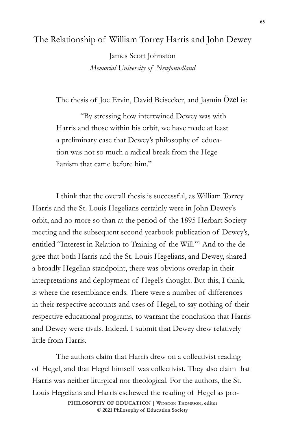## The Relationship of William Torrey Harris and John Dewey

James Scott Johnston *Memorial University of Newfoundland*

The thesis of Joe Ervin, David Beisecker, and Jasmin Özel is:

"By stressing how intertwined Dewey was with Harris and those within his orbit, we have made at least a preliminary case that Dewey's philosophy of education was not so much a radical break from the Hegelianism that came before him."

I think that the overall thesis is successful, as William Torrey Harris and the St. Louis Hegelians certainly were in John Dewey's orbit, and no more so than at the period of the 1895 Herbart Society meeting and the subsequent second yearbook publication of Dewey's, entitled "Interest in Relation to Training of the Will."<sup>1</sup> And to the degree that both Harris and the St. Louis Hegelians, and Dewey, shared a broadly Hegelian standpoint, there was obvious overlap in their interpretations and deployment of Hegel's thought. But this, I think, is where the resemblance ends. There were a number of differences in their respective accounts and uses of Hegel, to say nothing of their respective educational programs, to warrant the conclusion that Harris and Dewey were rivals. Indeed, I submit that Dewey drew relatively little from Harris.

The authors claim that Harris drew on a collectivist reading of Hegel, and that Hegel himself was collectivist. They also claim that Harris was neither liturgical nor theological. For the authors, the St. Louis Hegelians and Harris eschewed the reading of Hegel as pro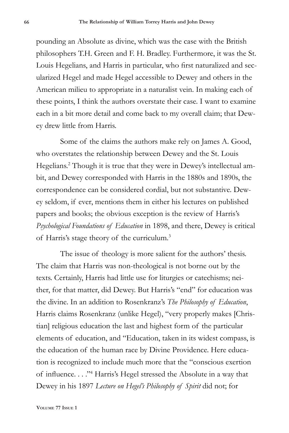pounding an Absolute as divine, which was the case with the British philosophers T.H. Green and F. H. Bradley. Furthermore, it was the St. Louis Hegelians, and Harris in particular, who first naturalized and secularized Hegel and made Hegel accessible to Dewey and others in the American milieu to appropriate in a naturalist vein. In making each of these points, I think the authors overstate their case. I want to examine each in a bit more detail and come back to my overall claim; that Dewey drew little from Harris.

Some of the claims the authors make rely on James A. Good, who overstates the relationship between Dewey and the St. Louis Hegelians.<sup>2</sup> Though it is true that they were in Dewey's intellectual ambit, and Dewey corresponded with Harris in the 1880s and 1890s, the correspondence can be considered cordial, but not substantive. Dewey seldom, if ever, mentions them in either his lectures on published papers and books; the obvious exception is the review of Harris's *Psychological Foundations of Education* in 1898, and there, Dewey is critical of Harris's stage theory of the curriculum.3

The issue of theology is more salient for the authors' thesis. The claim that Harris was non-theological is not borne out by the texts. Certainly, Harris had little use for liturgies or catechisms; neither, for that matter, did Dewey. But Harris's "end" for education was the divine. In an addition to Rosenkranz's *The Philosophy of Education*, Harris claims Rosenkranz (unlike Hegel), "very properly makes [Christian] religious education the last and highest form of the particular elements of education, and "Education, taken in its widest compass, is the education of the human race by Divine Providence. Here education is recognized to include much more that the "conscious exertion of influence. . . ."<sup>4</sup> Harris's Hegel stressed the Absolute in a way that Dewey in his 1897 *Lecture on Hegel's Philosophy of Spirit* did not; for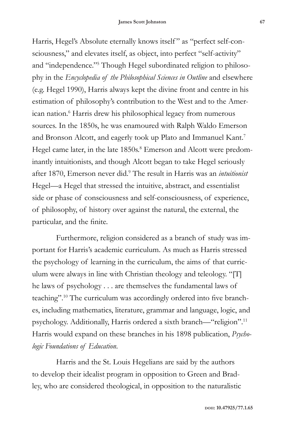Harris, Hegel's Absolute eternally knows itself" as "perfect self-consciousness," and elevates itself, as object, into perfect "self-activity" and "independence."5 Though Hegel subordinated religion to philosophy in the *Encyclopedia of the Philosophical Sciences in Outline* and elsewhere (e.g. Hegel 1990), Harris always kept the divine front and centre in his estimation of philosophy's contribution to the West and to the American nation.<sup>6</sup> Harris drew his philosophical legacy from numerous sources. In the 1850s, he was enamoured with Ralph Waldo Emerson and Bronson Alcott, and eagerly took up Plato and Immanuel Kant.7 Hegel came later, in the late 1850s.<sup>8</sup> Emerson and Alcott were predominantly intuitionists, and though Alcott began to take Hegel seriously after 1870, Emerson never did.9 The result in Harris was an *intuitionist* Hegel—a Hegel that stressed the intuitive, abstract, and essentialist side or phase of consciousness and self-consciousness, of experience, of philosophy, of history over against the natural, the external, the particular, and the finite.

Furthermore, religion considered as a branch of study was important for Harris's academic curriculum. As much as Harris stressed the psychology of learning in the curriculum, the aims of that curriculum were always in line with Christian theology and teleology. "[T] he laws of psychology . . . are themselves the fundamental laws of teaching".10 The curriculum was accordingly ordered into five branches, including mathematics, literature, grammar and language, logic, and psychology. Additionally, Harris ordered a sixth branch—"religion".11 Harris would expand on these branches in his 1898 publication, *Psychologic Foundations of Education*.

Harris and the St. Louis Hegelians are said by the authors to develop their idealist program in opposition to Green and Bradley, who are considered theological, in opposition to the naturalistic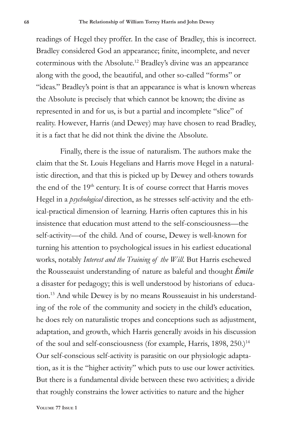readings of Hegel they proffer. In the case of Bradley, this is incorrect. Bradley considered God an appearance; finite, incomplete, and never coterminous with the Absolute.12 Bradley's divine was an appearance along with the good, the beautiful, and other so-called "forms" or "ideas." Bradley's point is that an appearance is what is known whereas the Absolute is precisely that which cannot be known; the divine as represented in and for us, is but a partial and incomplete "slice" of reality. However, Harris (and Dewey) may have chosen to read Bradley, it is a fact that he did not think the divine the Absolute.

Finally, there is the issue of naturalism. The authors make the claim that the St. Louis Hegelians and Harris move Hegel in a naturalistic direction, and that this is picked up by Dewey and others towards the end of the 19<sup>th</sup> century. It is of course correct that Harris moves Hegel in a *psychological* direction, as he stresses self-activity and the ethical-practical dimension of learning. Harris often captures this in his insistence that education must attend to the self-consciousness—the self-activity—of the child. And of course, Dewey is well-known for turning his attention to psychological issues in his earliest educational works, notably *Interest and the Training of the Will*. But Harris eschewed the Rousseauist understanding of nature as baleful and thought *Émile* a disaster for pedagogy; this is well understood by historians of education.13 And while Dewey is by no means Rousseauist in his understanding of the role of the community and society in the child's education, he does rely on naturalistic tropes and conceptions such as adjustment, adaptation, and growth, which Harris generally avoids in his discussion of the soul and self-consciousness (for example, Harris, 1898, 250.)<sup>14</sup> Our self-conscious self-activity is parasitic on our physiologic adaptation, as it is the "higher activity" which puts to use our lower activities. But there is a fundamental divide between these two activities; a divide that roughly constrains the lower activities to nature and the higher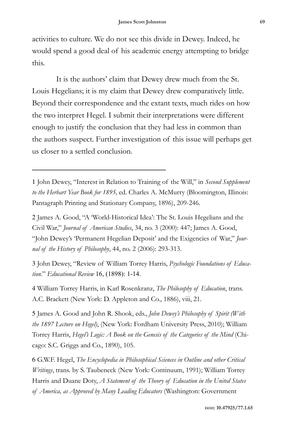activities to culture. We do not see this divide in Dewey. Indeed, he would spend a good deal of his academic energy attempting to bridge this.

It is the authors' claim that Dewey drew much from the St. Louis Hegelians; it is my claim that Dewey drew comparatively little. Beyond their correspondence and the extant texts, much rides on how the two interpret Hegel. I submit their interpretations were different enough to justify the conclusion that they had less in common than the authors suspect. Further investigation of this issue will perhaps get us closer to a settled conclusion.

1 John Dewey, "Interest in Relation to Training of the Will," in *Second Supplement to the Herbart Year Book for 1895,* ed. Charles A. McMurry (Bloomington, Illinois: Pantagraph Printing and Stationary Company, 1896), 209-246.

2 James A. Good, "A 'World-Historical Idea': The St. Louis Hegelians and the Civil War," *Journal of American Studies*, 34, no. 3 (2000): 447; James A. Good, "John Dewey's 'Permanent Hegelian Deposit' and the Exigencies of War," *Journal of the History of Philosophy*, 44, no. 2 (2006): 293-313.

3 John Dewey, "Review of William Torrey Harris, *Psychologic Foundations of Education*." *Educational Review* 16, (1898): 1-14.

4 William Torrey Harris, in Karl Rosenkranz, *The Philosophy of Education*, trans. A.C. Brackett (New York: D. Appleton and Co., 1886), viii, 21.

5 James A. Good and John R. Shook, eds., *John Dewey's Philosophy of Spirit (With the 1897 Lecture on Hegel)*, (New York: Fordham University Press, 2010); William Torrey Harris, *Hegel's Logic: A Book on the Genesis of the Categories of the Mind* (Chicago: S.C. Griggs and Co., 1890), 105.

6 G.W.F. Hegel, *The Encyclopedia in Philosophical Sciences in Outline and other Critical Writings*, trans. by S. Taubeneck (New York: Continuum, 1991); William Torrey Harris and Duane Doty, *A Statement of the Theory of Education in the United States of America, as Approved by Many Leading Educators* (Washington: Government